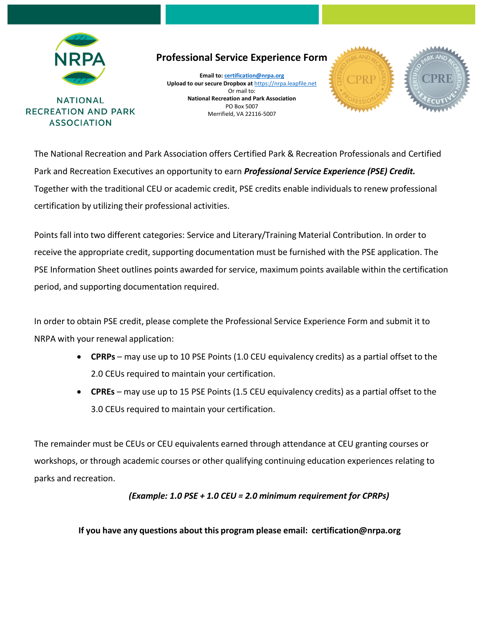

**NATIONAL RECREATION AND PARK ASSOCIATION** 

**Professional Service Experience Form** 

**Email to[: certification@nrpa.org](mailto:certification@nrpa.org) Upload to our secure Dropbox at** [https://nrpa.leapfile.net](https://clicktime.symantec.com/352H5mchJL2yqnc78sGyhTy7Vc?u=https%3A%2F%2Fnrpa.leapfile.net) Or mail to: **National Recreation and Park Association** PO Box 5007 Merrifield, VA 22116-5007





The National Recreation and Park Association offers Certified Park & Recreation Professionals and Certified Park and Recreation Executives an opportunity to earn *Professional Service Experience (PSE) Credit.* Together with the traditional CEU or academic credit, PSE credits enable individuals to renew professional certification by utilizing their professional activities.

Points fall into two different categories: Service and Literary/Training Material Contribution. In order to receive the appropriate credit, supporting documentation must be furnished with the PSE application. The PSE Information Sheet outlines points awarded for service, maximum points available within the certification period, and supporting documentation required.

In order to obtain PSE credit, please complete the Professional Service Experience Form and submit it to NRPA with your renewal application:

- **CPRPs** may use up to 10 PSE Points (1.0 CEU equivalency credits) as a partial offset to the 2.0 CEUs required to maintain your certification.
- **CPREs**  may use up to 15 PSE Points (1.5 CEU equivalency credits) as a partial offset to the 3.0 CEUs required to maintain your certification.

The remainder must be CEUs or CEU equivalents earned through attendance at CEU granting courses or workshops, or through academic courses or other qualifying continuing education experiences relating to parks and recreation.

*(Example: 1.0 PSE + 1.0 CEU = 2.0 minimum requirement for CPRPs)*

**If you have any questions about this program please email: [certification@nrpa.org](mailto:certification@nrpa.org)**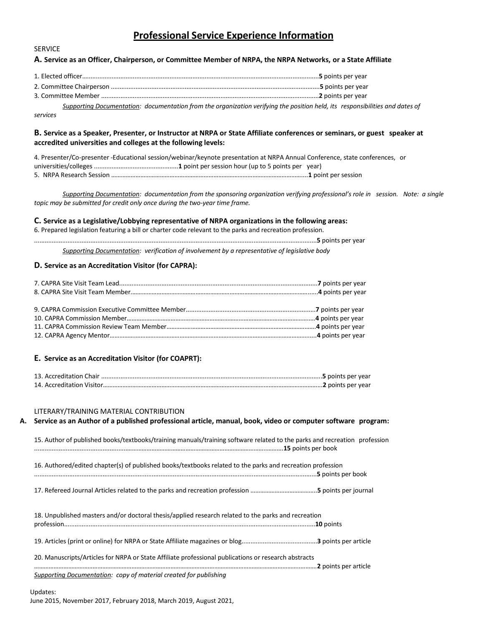## **Professional Service Experience Information**

#### **A. Service as an Officer, Chairperson, or Committee Member of NRPA, the NRPA Networks, or a State Affiliate**

3*.* Committee Member ............................................................................................................................**2** points per year

*Supporting Documentation: documentation from the organization verifying the position held, its responsibilities and dates of services*

#### **B. Service as a Speaker, Presenter, or Instructor at NRPA or State Affiliate conferences or seminars, or guest speaker at accredited universities and colleges at the following levels:**

4. Presenter/Co-presenter -Educational session/webinar/keynote presentation at NRPA Annual Conference, state conferences, or universities/colleges ................................................**1** point per session hour (up to 5 points per year) 5. NRPA Research Session ………………………………………………………………………………………………………....**1** point per session

*Supporting Documentation: documentation from the sponsoring organization verifying professional's role in session. Note: a single topic may be submitted for credit only once during the two-year time frame.*

**C. Service as a Legislative/Lobbying representative of NRPA organizations in the following areas:**

6. Prepared legislation featuring a bill or charter code relevant to the parks and recreation profession.

.................................................................................................................................................................**5** points per year

*Supporting Documentation: verification of involvement by a representative of legislative body*

#### **D. Service as an Accreditation Visitor (for CAPRA):**

SERVICE

#### **E. Service as an Accreditation Visitor (for COAPRT):**

#### LITERARY/TRAINING MATERIAL CONTRIBUTION

# **A. Service as an Author of a published professional article, manual, book, video or computer software program:** 15. Author of published books/textbooks/training manuals/training software related to the parks and recreation profession .....................................................…………………………………………………………………………..……….**15** points per book 16. Authored/edited chapter(s) of published books/textbooks related to the parks and recreation profession .................................................................................................................................................................**5** points per book 17. Refereed Journal Articles related to the parks and recreation profession …………………………………..**5** points per journal 18. Unpublished masters and/or doctoral thesis/applied research related to the parks and recreation profession...............................................................................................................................................**10** points 19. Articles (print or online) for NRPA or State Affiliate magazines or blog...........................................**3** points per article 20. Manuscripts/Articles for NRPA or State Affiliate professional publications or research abstracts ………………………………………………………………………………………………………………………………………………..……….**2** points per article *Supporting Documentation: copy of material created for publishing*

#### Updates:

June 2015, November 2017, February 2018, March 2019, August 2021,